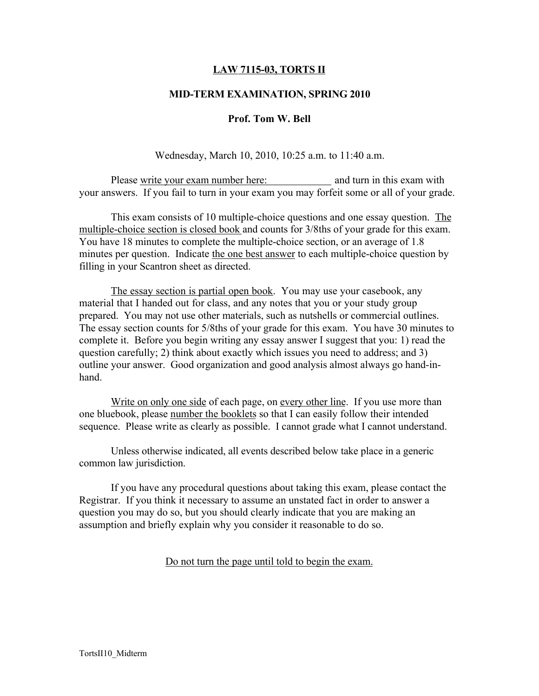## LAW 7115-03, TORTS II

### MID-TERM EXAMINATION, SPRING 2010

#### Prof. Tom W. Bell

Wednesday, March 10, 2010, 10:25 a.m. to 11:40 a.m.

Please write your exam number here: and turn in this exam with your answers. If you fail to turn in your exam you may forfeit some or all of your grade.

This exam consists of 10 multiple-choice questions and one essay question. The multiple-choice section is closed book and counts for 3/8ths of your grade for this exam. You have 18 minutes to complete the multiple-choice section, or an average of 1.8 minutes per question. Indicate the one best answer to each multiple-choice question by filling in your Scantron sheet as directed.

The essay section is partial open book. You may use your casebook, any material that I handed out for class, and any notes that you or your study group prepared. You may not use other materials, such as nutshells or commercial outlines. The essay section counts for 5/8ths of your grade for this exam. You have 30 minutes to complete it. Before you begin writing any essay answer I suggest that you: 1) read the question carefully; 2) think about exactly which issues you need to address; and 3) outline your answer. Good organization and good analysis almost always go hand-inhand.

Write on only one side of each page, on every other line. If you use more than one bluebook, please number the booklets so that I can easily follow their intended sequence. Please write as clearly as possible. I cannot grade what I cannot understand.

Unless otherwise indicated, all events described below take place in a generic common law jurisdiction.

If you have any procedural questions about taking this exam, please contact the Registrar. If you think it necessary to assume an unstated fact in order to answer a question you may do so, but you should clearly indicate that you are making an assumption and briefly explain why you consider it reasonable to do so.

Do not turn the page until told to begin the exam.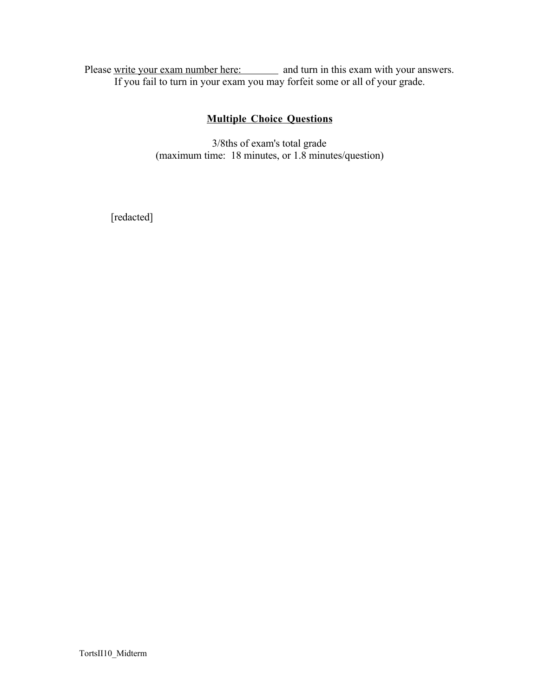Please write your exam number here: and turn in this exam with your answers. If you fail to turn in your exam you may forfeit some or all of your grade.

# Multiple Choice Questions

3/8ths of exam's total grade (maximum time: 18 minutes, or 1.8 minutes/question)

[redacted]